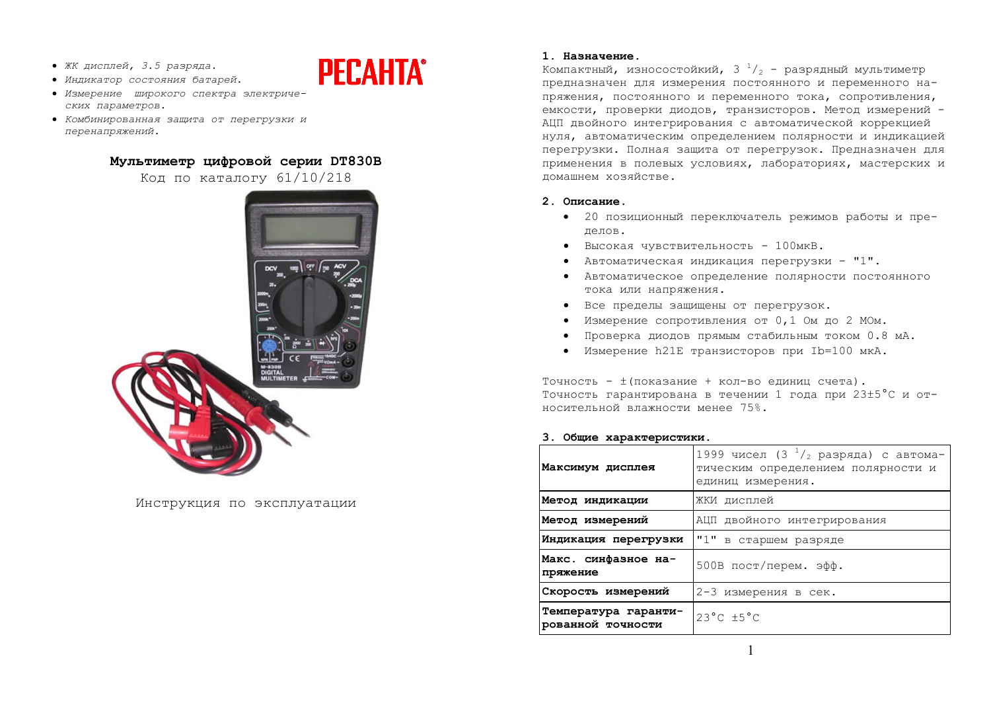- ЖК дисплей, 3.5 разряда.
- Индикатор состояния батарей.
- Измерение широкого спектра электриче- $CKMX$  *параметров*.
- Комбинированная защита от перегрузки и *ɩɟɪɟɧɚɩɪɹɠɟɧɢɣ.*

# **Ɇɭɥɶɬɢɦɟɬɪ ɰɢɮɪɨɜɨɣ ɫɟɪɢɢ DT830B**

**PECAHTA®** 

Код по каталогу 61/10/218



Инструкция по эксплуатации

# **1. Назначение.**

Компактный, износостойкий, 3  $^1\prime_2$  - разрядный мультиметр предназначен для измерения постоянного и переменного напряжения, постоянного и переменного тока, сопротивления, емкости, проверки диодов, транзисторов. Метод измерений -АШП лвойного интегрирования с автоматической коррекцией нуля, автоматическим определением полярности и индикацией перегрузки. Полная защита от перегрузок. Предназначен для применения в полевых условиях, лабораториях, мастерских и ломашнем хозяйстве.

# **2. Ɉɩɢɫɚɧɢɟ.**

- 20 позиционный переключатель режимов работы и прелелов.
- $\bullet$  Высокая чувствительность 100мкВ.
- Автоматическая индикация перегрузки "1".
- Автоматическое определение полярности постоянного тока или напряжения.
- Все пределы защищены от перегрузок.
- Измерение сопротивления от 0,1 Ом до 2 МОм.
- Проверка диодов прямым стабильным током 0.8 мА.
- Измерение h21E транзисторов при Ib=100 мкА.

Точность -  $\pm$ (показание + кол-во единиц счета). Точность гарантирована в течении 1 года при 23±5°С и относительной влажности менее 75%.

# 3. Общие характеристики.

| Максимум дисплея                          | 1999 чисел (3 $^{1}/_{2}$ разряда) с автома-<br>тическим определением полярности и<br>единиц измерения. |  |  |
|-------------------------------------------|---------------------------------------------------------------------------------------------------------|--|--|
| Метод индикации                           | ЖКИ дисплей                                                                                             |  |  |
| Метод измерений                           | АЦП двойного интегрирования                                                                             |  |  |
| Индикация перегрузки                      | "1" в старшем разряде                                                                                   |  |  |
| Макс. синфазное на-<br>пряжение           | 500В пост/перем. эфф.                                                                                   |  |  |
| Скорость измерений                        | 2-3 измерения в сек.                                                                                    |  |  |
| Температура гаранти-<br>рованной точности | $23^{\circ}$ C $\pm 5^{\circ}$ C                                                                        |  |  |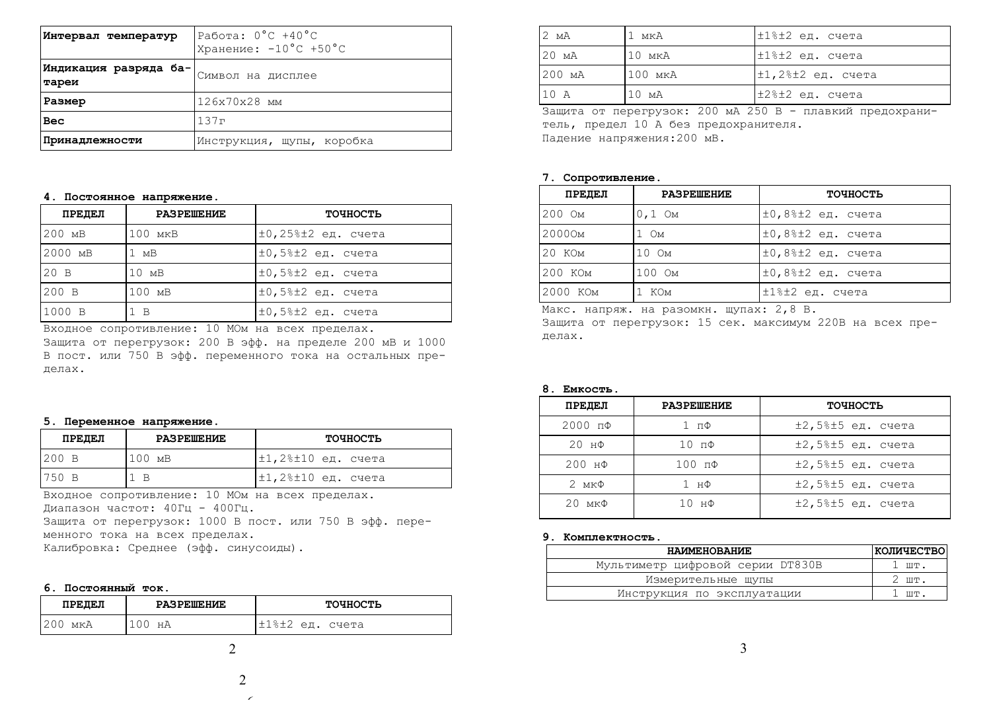| Интервал температур            | Работа: $0^{\circ}$ C +40 $^{\circ}$ C<br>Хранение: $-10^{\circ}$ С +50°С |  |
|--------------------------------|---------------------------------------------------------------------------|--|
| Индикация разряда ба-<br>тареи | Символ на дисплее                                                         |  |
| Размер                         | 126x70x28 MM                                                              |  |
| Bec                            | 137r                                                                      |  |
| Принадлежности                 | Инструкция, щупы, коробка                                                 |  |

## $4.$  Постоянное напряжение.

| ПРЕДЕЛ  | <b>PASPEMEHME</b> | ТОЧНОСТЬ                        |
|---------|-------------------|---------------------------------|
| 200 MB  | $100$ MKB         | $\pm 0$ , 25% $\pm 2$ ед. счета |
| 2000 MB | 1 MB              | $\pm 0,5$ % $\pm 2$ ед. счета   |
| 20B     | 10 <sub>MB</sub>  | $\pm 0,58\pm 2$ ед. счета       |
| 200 B   | 100 MB            | $\pm 0.5$ % $\pm 2$ eg. cyera   |
| 1000 B  | $1 \, B$          | $\pm 0.5$ % $\pm 2$ en. cyera   |

<u>Бходное сопротивление: 10 МОм на всех пределах.</u>

Защита от перегрузок: 200 В эфф. на пределе 200 мВ и 1000 В пост. или 750 В эфф. переменного тока на остальных прелелах.

### $5.$  Переменное напряжение.

| ПРЕДЕЛ  | <b>PASPEMEHME</b> | ТОЧНОСТЬ                        |
|---------|-------------------|---------------------------------|
| $200$ B | 100 MB            | $\pm 1, 2$ % $\pm 10$ ед. счета |
| 750 B   | $\overline{B}$    | $\pm 1$ ,2% $\pm 10$ ед. счета  |

Входное сопротивление: 10 МОм на всех пределах. Диапазон частот: 40Гц - 400Гц. Защита от перегрузок: 1000 В пост. или 750 В эфф. пере-

менного тока на всех пределах.

Калибровка: Среднее (эфф. синусоиды).

# **6. Постоянный ток.**

| ПРЕДЕЛ     | <b>PASPEMEHME</b> | ТОЧНОСТЬ        |
|------------|-------------------|-----------------|
| 200<br>мкА | нΑ                | ±1%±2 ед. счета |

| 12 MA           | 1 мкА       | $\pm 1$ % $\pm 2$ ед. счета   |
|-----------------|-------------|-------------------------------|
| $20 \text{ MA}$ | 10 мкА      | l±1%±2 ед. счета              |
| 200 MA          | $100$ $MKA$ | $\pm 1$ ,2% $\pm 2$ ед. счета |
| 10A             | 10 MA       | l±2%±2 ед. счета              |

Защита от перегрузок: 200 мА 250 В - плавкий предохранитель, предел 10 А без предохранителя. Падение напряжения: 200 мВ.

#### $7.$  Сопротивление.

| ПРЕДЕЛ   | <b>PASPEMEHME</b> | ТОЧНОСТЬ                       |
|----------|-------------------|--------------------------------|
| 200 OM   | $0,1$ Om          | $\pm 0.88 \pm 2$ ед. счета     |
| 20000m   | $1 \t{OM}$        | $\pm 0$ ,8% $\pm 2$ ед. счета  |
| 20 KOM   | 10 Om             | $\pm 0$ ,8% $\pm 2$ ед. счета  |
| 200 KOM  | 100 OM            | $\pm 0$ , 8% $\pm 2$ ед. счета |
| 2000 KOM | КОм               | ı±1%±2 ед. счета               |

Макс. напряж. на разомкн. щупах: 2,8 В.

Защита от перегрузок: 15 сек. максимум 220В на всех пределах.

# 8. **Емкость**.

| ПРЕДЕЛ              | <b>PASPEMEHME</b> | ТОЧНОСТЬ                                     |
|---------------------|-------------------|----------------------------------------------|
| $2000$ $\pi\Phi$    | $1 \pi \Phi$      | $±2,5%±5$ ед. счета                          |
| $20$ нФ             | $10 \pi \Phi$     | $±2,5$ <sup>2</sup> $±5$ ед. счета           |
| $200$ нФ            | $100$ $\pi\Phi$   | $±2,5$ <sup>2</sup> $±5$ ед. счета           |
| $2 \text{ mK}\Phi$  | 1 нФ              | $±2,5%±5$ ед. счета                          |
| $20 \text{ mK}\Phi$ | $10$ $H\Phi$      | $±2,5$ <sup>8<math>±5</math></sup> ед. счета |

#### 9. Комплектность.

| <b>HAMMEHOBAHME</b>              | <b>KOJIMYECTBO</b>         |
|----------------------------------|----------------------------|
| Мультиметр цифровой серии DT830B | $1 \text{ mT}$ .           |
| Измерительные щупы               | $2 \text{ }\text{III}.$    |
| Инструкция по эксплуатации       | $\mathbb{R}^n$ . III Table |

2

6